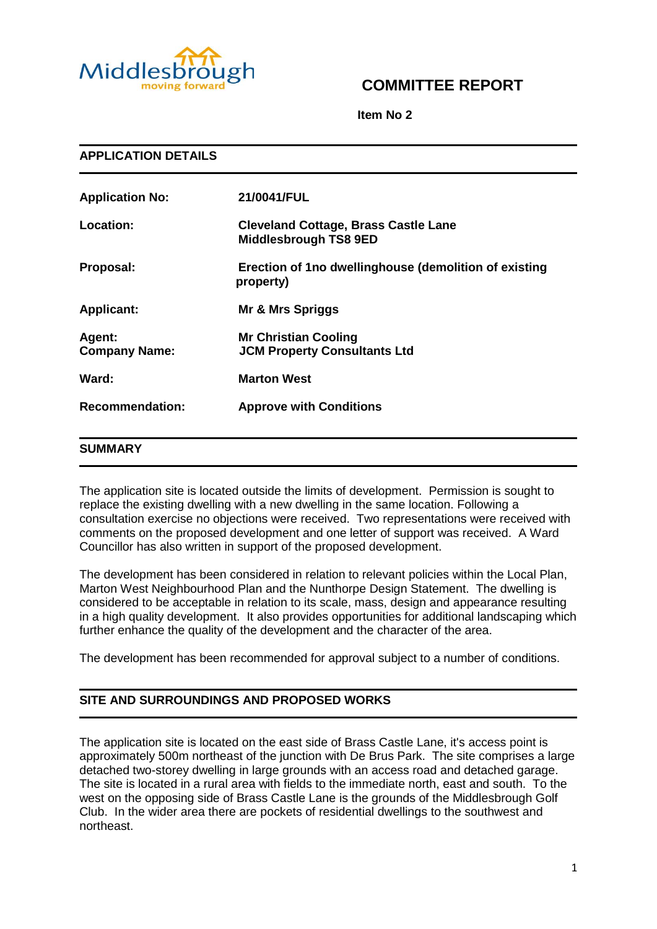

## **COMMITTEE REPORT**

**Item No 2**

| <b>APPLICATION DETAILS</b>     |                                                                             |  |
|--------------------------------|-----------------------------------------------------------------------------|--|
| <b>Application No:</b>         | 21/0041/FUL                                                                 |  |
| Location:                      | <b>Cleveland Cottage, Brass Castle Lane</b><br><b>Middlesbrough TS8 9ED</b> |  |
| Proposal:                      | Erection of 1no dwellinghouse (demolition of existing<br>property)          |  |
| <b>Applicant:</b>              | Mr & Mrs Spriggs                                                            |  |
| Agent:<br><b>Company Name:</b> | <b>Mr Christian Cooling</b><br><b>JCM Property Consultants Ltd</b>          |  |
| Ward:                          | <b>Marton West</b>                                                          |  |
| <b>Recommendation:</b>         | <b>Approve with Conditions</b>                                              |  |
| <b>SUMMARY</b>                 |                                                                             |  |

The application site is located outside the limits of development. Permission is sought to replace the existing dwelling with a new dwelling in the same location. Following a consultation exercise no objections were received. Two representations were received with comments on the proposed development and one letter of support was received. A Ward Councillor has also written in support of the proposed development.

The development has been considered in relation to relevant policies within the Local Plan, Marton West Neighbourhood Plan and the Nunthorpe Design Statement. The dwelling is considered to be acceptable in relation to its scale, mass, design and appearance resulting in a high quality development. It also provides opportunities for additional landscaping which further enhance the quality of the development and the character of the area.

The development has been recommended for approval subject to a number of conditions.

## **SITE AND SURROUNDINGS AND PROPOSED WORKS**

The application site is located on the east side of Brass Castle Lane, it's access point is approximately 500m northeast of the junction with De Brus Park. The site comprises a large detached two-storey dwelling in large grounds with an access road and detached garage. The site is located in a rural area with fields to the immediate north, east and south. To the west on the opposing side of Brass Castle Lane is the grounds of the Middlesbrough Golf Club. In the wider area there are pockets of residential dwellings to the southwest and northeast.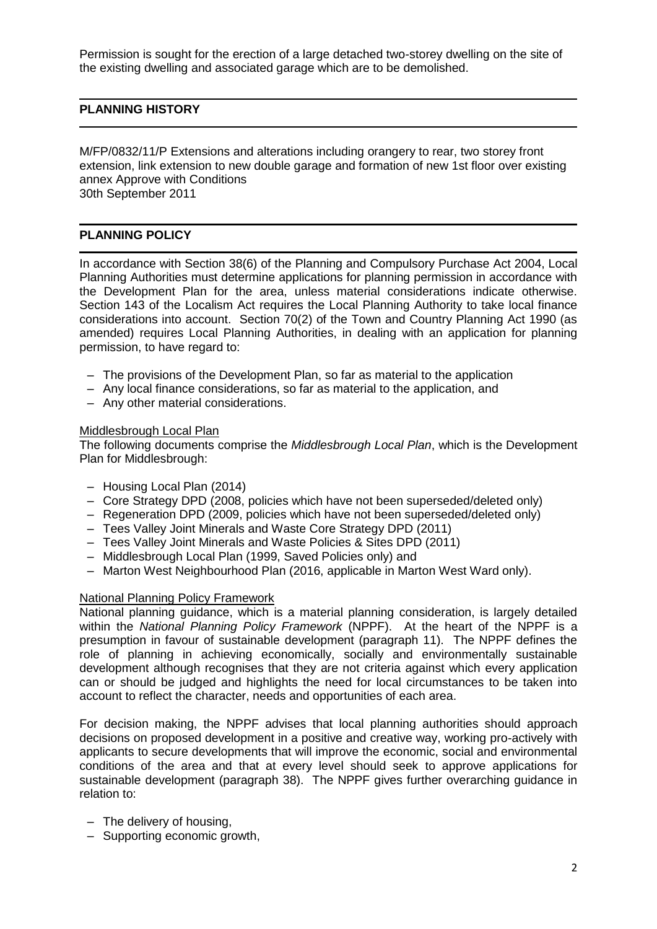Permission is sought for the erection of a large detached two-storey dwelling on the site of the existing dwelling and associated garage which are to be demolished.

## **PLANNING HISTORY**

M/FP/0832/11/P Extensions and alterations including orangery to rear, two storey front extension, link extension to new double garage and formation of new 1st floor over existing annex Approve with Conditions 30th September 2011

## **PLANNING POLICY**

In accordance with Section 38(6) of the Planning and Compulsory Purchase Act 2004, Local Planning Authorities must determine applications for planning permission in accordance with the Development Plan for the area, unless material considerations indicate otherwise. Section 143 of the Localism Act requires the Local Planning Authority to take local finance considerations into account. Section 70(2) of the Town and Country Planning Act 1990 (as amended) requires Local Planning Authorities, in dealing with an application for planning permission, to have regard to:

- The provisions of the Development Plan, so far as material to the application
- Any local finance considerations, so far as material to the application, and
- Any other material considerations.

#### Middlesbrough Local Plan

The following documents comprise the *Middlesbrough Local Plan*, which is the Development Plan for Middlesbrough:

- Housing Local Plan (2014)
- Core Strategy DPD (2008, policies which have not been superseded/deleted only)
- Regeneration DPD (2009, policies which have not been superseded/deleted only)
- Tees Valley Joint Minerals and Waste Core Strategy DPD (2011)
- Tees Valley Joint Minerals and Waste Policies & Sites DPD (2011)
- Middlesbrough Local Plan (1999, Saved Policies only) and
- Marton West Neighbourhood Plan (2016, applicable in Marton West Ward only).

## National Planning Policy Framework

National planning guidance, which is a material planning consideration, is largely detailed within the *National Planning Policy Framework* (NPPF). At the heart of the NPPF is a presumption in favour of sustainable development (paragraph 11). The NPPF defines the role of planning in achieving economically, socially and environmentally sustainable development although recognises that they are not criteria against which every application can or should be judged and highlights the need for local circumstances to be taken into account to reflect the character, needs and opportunities of each area.

For decision making, the NPPF advises that local planning authorities should approach decisions on proposed development in a positive and creative way, working pro-actively with applicants to secure developments that will improve the economic, social and environmental conditions of the area and that at every level should seek to approve applications for sustainable development (paragraph 38). The NPPF gives further overarching guidance in relation to:

- The delivery of housing,
- Supporting economic growth,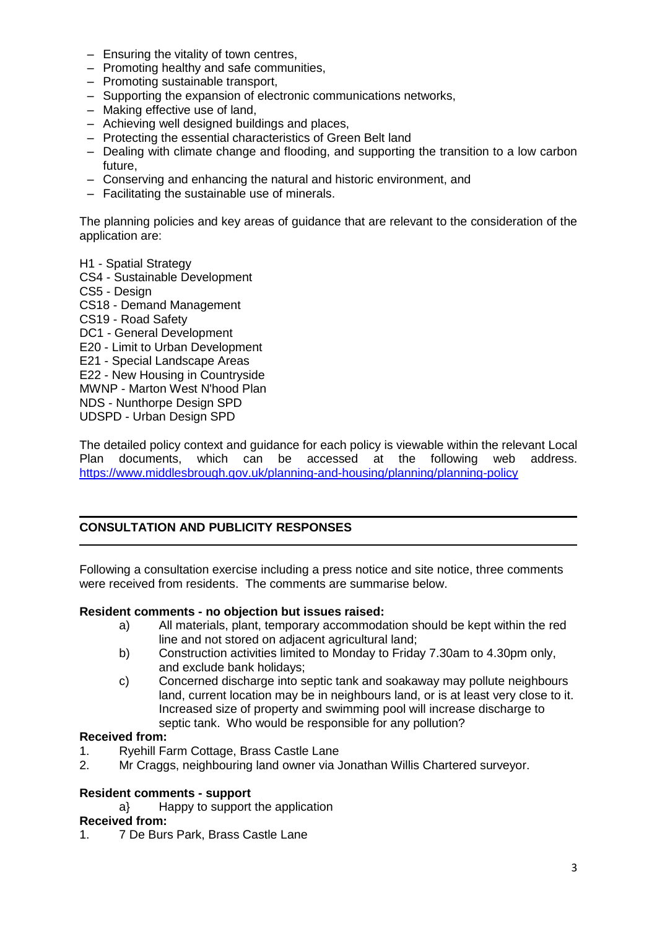- Ensuring the vitality of town centres,
- Promoting healthy and safe communities,
- Promoting sustainable transport,
- Supporting the expansion of electronic communications networks,
- Making effective use of land,
- Achieving well designed buildings and places,
- Protecting the essential characteristics of Green Belt land
- Dealing with climate change and flooding, and supporting the transition to a low carbon future,
- Conserving and enhancing the natural and historic environment, and
- Facilitating the sustainable use of minerals.

The planning policies and key areas of guidance that are relevant to the consideration of the application are:

H1 - Spatial Strategy

CS4 - Sustainable Development CS5 - Design CS18 - Demand Management CS19 - Road Safety DC1 - General Development E20 - Limit to Urban Development E21 - Special Landscape Areas E22 - New Housing in Countryside MWNP - Marton West N'hood Plan NDS - Nunthorpe Design SPD UDSPD - Urban Design SPD

The detailed policy context and guidance for each policy is viewable within the relevant Local Plan documents, which can be accessed at the following web address. <https://www.middlesbrough.gov.uk/planning-and-housing/planning/planning-policy>

## **CONSULTATION AND PUBLICITY RESPONSES**

Following a consultation exercise including a press notice and site notice, three comments were received from residents. The comments are summarise below.

#### **Resident comments - no objection but issues raised:**

- a) All materials, plant, temporary accommodation should be kept within the red line and not stored on adjacent agricultural land;
- b) Construction activities limited to Monday to Friday 7.30am to 4.30pm only, and exclude bank holidays;
- c) Concerned discharge into septic tank and soakaway may pollute neighbours land, current location may be in neighbours land, or is at least very close to it. Increased size of property and swimming pool will increase discharge to septic tank. Who would be responsible for any pollution?

#### **Received from:**

- 1. Ryehill Farm Cottage, Brass Castle Lane
- 2. Mr Craggs, neighbouring land owner via Jonathan Willis Chartered surveyor.

#### **Resident comments - support**

a} Happy to support the application

#### **Received from:**

1. 7 De Burs Park, Brass Castle Lane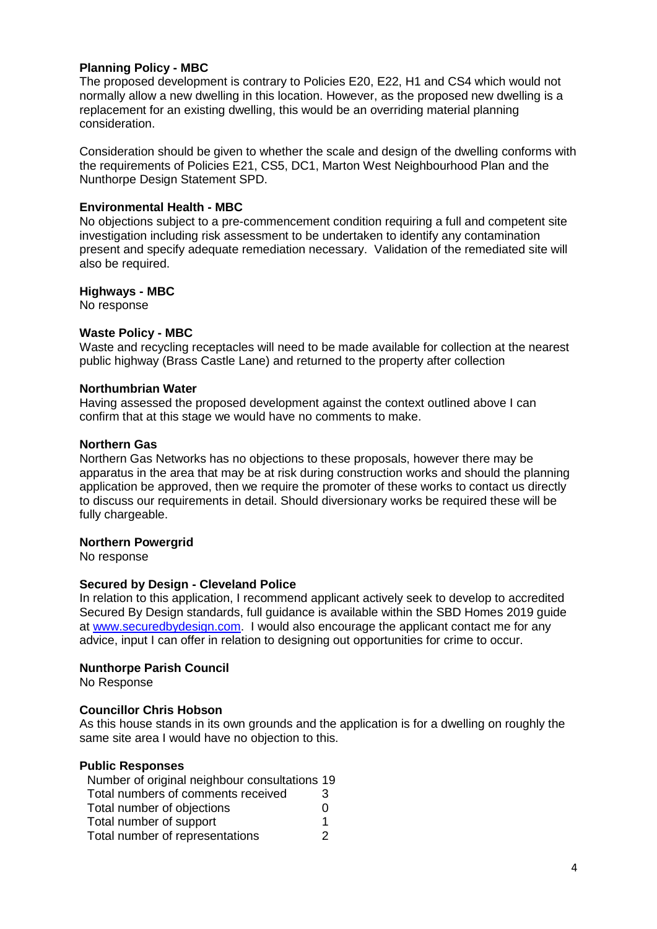## **Planning Policy - MBC**

The proposed development is contrary to Policies E20, E22, H1 and CS4 which would not normally allow a new dwelling in this location. However, as the proposed new dwelling is a replacement for an existing dwelling, this would be an overriding material planning consideration.

Consideration should be given to whether the scale and design of the dwelling conforms with the requirements of Policies E21, CS5, DC1, Marton West Neighbourhood Plan and the Nunthorpe Design Statement SPD.

#### **Environmental Health - MBC**

No objections subject to a pre-commencement condition requiring a full and competent site investigation including risk assessment to be undertaken to identify any contamination present and specify adequate remediation necessary. Validation of the remediated site will also be required.

#### **Highways - MBC**

No response

#### **Waste Policy - MBC**

Waste and recycling receptacles will need to be made available for collection at the nearest public highway (Brass Castle Lane) and returned to the property after collection

#### **Northumbrian Water**

Having assessed the proposed development against the context outlined above I can confirm that at this stage we would have no comments to make.

#### **Northern Gas**

Northern Gas Networks has no objections to these proposals, however there may be apparatus in the area that may be at risk during construction works and should the planning application be approved, then we require the promoter of these works to contact us directly to discuss our requirements in detail. Should diversionary works be required these will be fully chargeable.

#### **Northern Powergrid**

No response

#### **Secured by Design - Cleveland Police**

In relation to this application, I recommend applicant actively seek to develop to accredited Secured By Design standards, full guidance is available within the SBD Homes 2019 guide at [www.securedbydesign.com.](http://www.securedbydesign.com/) I would also encourage the applicant contact me for any advice, input I can offer in relation to designing out opportunities for crime to occur.

#### **Nunthorpe Parish Council**

No Response

#### **Councillor Chris Hobson**

As this house stands in its own grounds and the application is for a dwelling on roughly the same site area I would have no objection to this.

#### **Public Responses**

| Number of original neighbour consultations 19 |                   |
|-----------------------------------------------|-------------------|
| Total numbers of comments received            | 3                 |
| Total number of objections                    | $\mathbf{\Omega}$ |
| Total number of support                       | 1                 |
| Total number of representations               | 2                 |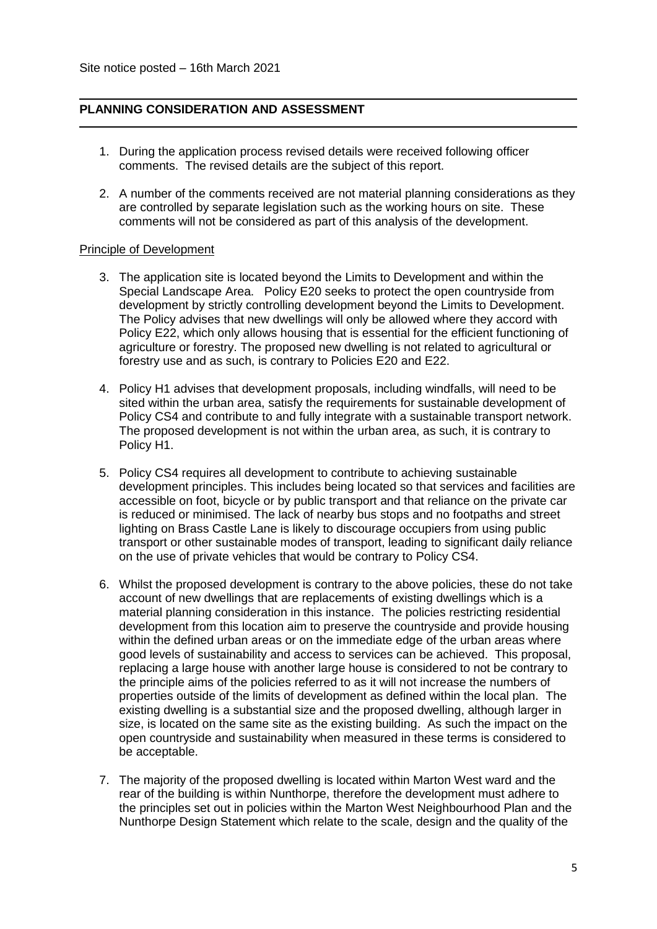#### **PLANNING CONSIDERATION AND ASSESSMENT**

- 1. During the application process revised details were received following officer comments. The revised details are the subject of this report.
- 2. A number of the comments received are not material planning considerations as they are controlled by separate legislation such as the working hours on site. These comments will not be considered as part of this analysis of the development.

#### Principle of Development

- 3. The application site is located beyond the Limits to Development and within the Special Landscape Area. Policy E20 seeks to protect the open countryside from development by strictly controlling development beyond the Limits to Development. The Policy advises that new dwellings will only be allowed where they accord with Policy E22, which only allows housing that is essential for the efficient functioning of agriculture or forestry. The proposed new dwelling is not related to agricultural or forestry use and as such, is contrary to Policies E20 and E22.
- 4. Policy H1 advises that development proposals, including windfalls, will need to be sited within the urban area, satisfy the requirements for sustainable development of Policy CS4 and contribute to and fully integrate with a sustainable transport network. The proposed development is not within the urban area, as such, it is contrary to Policy H1.
- 5. Policy CS4 requires all development to contribute to achieving sustainable development principles. This includes being located so that services and facilities are accessible on foot, bicycle or by public transport and that reliance on the private car is reduced or minimised. The lack of nearby bus stops and no footpaths and street lighting on Brass Castle Lane is likely to discourage occupiers from using public transport or other sustainable modes of transport, leading to significant daily reliance on the use of private vehicles that would be contrary to Policy CS4.
- 6. Whilst the proposed development is contrary to the above policies, these do not take account of new dwellings that are replacements of existing dwellings which is a material planning consideration in this instance. The policies restricting residential development from this location aim to preserve the countryside and provide housing within the defined urban areas or on the immediate edge of the urban areas where good levels of sustainability and access to services can be achieved. This proposal, replacing a large house with another large house is considered to not be contrary to the principle aims of the policies referred to as it will not increase the numbers of properties outside of the limits of development as defined within the local plan. The existing dwelling is a substantial size and the proposed dwelling, although larger in size, is located on the same site as the existing building. As such the impact on the open countryside and sustainability when measured in these terms is considered to be acceptable.
- 7. The majority of the proposed dwelling is located within Marton West ward and the rear of the building is within Nunthorpe, therefore the development must adhere to the principles set out in policies within the Marton West Neighbourhood Plan and the Nunthorpe Design Statement which relate to the scale, design and the quality of the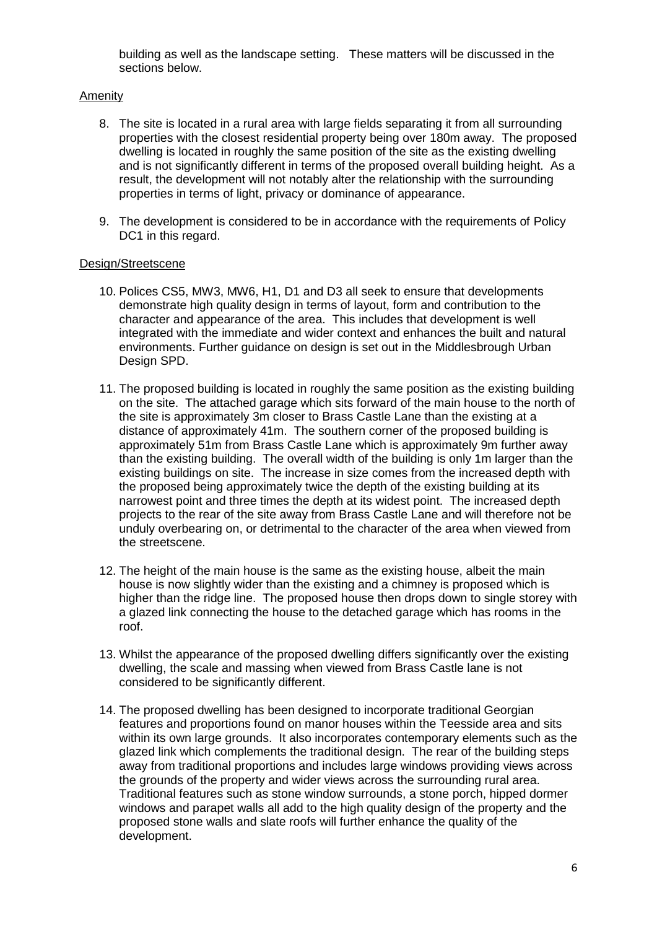building as well as the landscape setting. These matters will be discussed in the sections below.

## Amenity

- 8. The site is located in a rural area with large fields separating it from all surrounding properties with the closest residential property being over 180m away. The proposed dwelling is located in roughly the same position of the site as the existing dwelling and is not significantly different in terms of the proposed overall building height. As a result, the development will not notably alter the relationship with the surrounding properties in terms of light, privacy or dominance of appearance.
- 9. The development is considered to be in accordance with the requirements of Policy DC1 in this regard.

#### Design/Streetscene

- 10. Polices CS5, MW3, MW6, H1, D1 and D3 all seek to ensure that developments demonstrate high quality design in terms of layout, form and contribution to the character and appearance of the area. This includes that development is well integrated with the immediate and wider context and enhances the built and natural environments. Further guidance on design is set out in the Middlesbrough Urban Design SPD.
- 11. The proposed building is located in roughly the same position as the existing building on the site. The attached garage which sits forward of the main house to the north of the site is approximately 3m closer to Brass Castle Lane than the existing at a distance of approximately 41m. The southern corner of the proposed building is approximately 51m from Brass Castle Lane which is approximately 9m further away than the existing building. The overall width of the building is only 1m larger than the existing buildings on site. The increase in size comes from the increased depth with the proposed being approximately twice the depth of the existing building at its narrowest point and three times the depth at its widest point. The increased depth projects to the rear of the site away from Brass Castle Lane and will therefore not be unduly overbearing on, or detrimental to the character of the area when viewed from the streetscene.
- 12. The height of the main house is the same as the existing house, albeit the main house is now slightly wider than the existing and a chimney is proposed which is higher than the ridge line. The proposed house then drops down to single storey with a glazed link connecting the house to the detached garage which has rooms in the roof.
- 13. Whilst the appearance of the proposed dwelling differs significantly over the existing dwelling, the scale and massing when viewed from Brass Castle lane is not considered to be significantly different.
- 14. The proposed dwelling has been designed to incorporate traditional Georgian features and proportions found on manor houses within the Teesside area and sits within its own large grounds. It also incorporates contemporary elements such as the glazed link which complements the traditional design. The rear of the building steps away from traditional proportions and includes large windows providing views across the grounds of the property and wider views across the surrounding rural area. Traditional features such as stone window surrounds, a stone porch, hipped dormer windows and parapet walls all add to the high quality design of the property and the proposed stone walls and slate roofs will further enhance the quality of the development.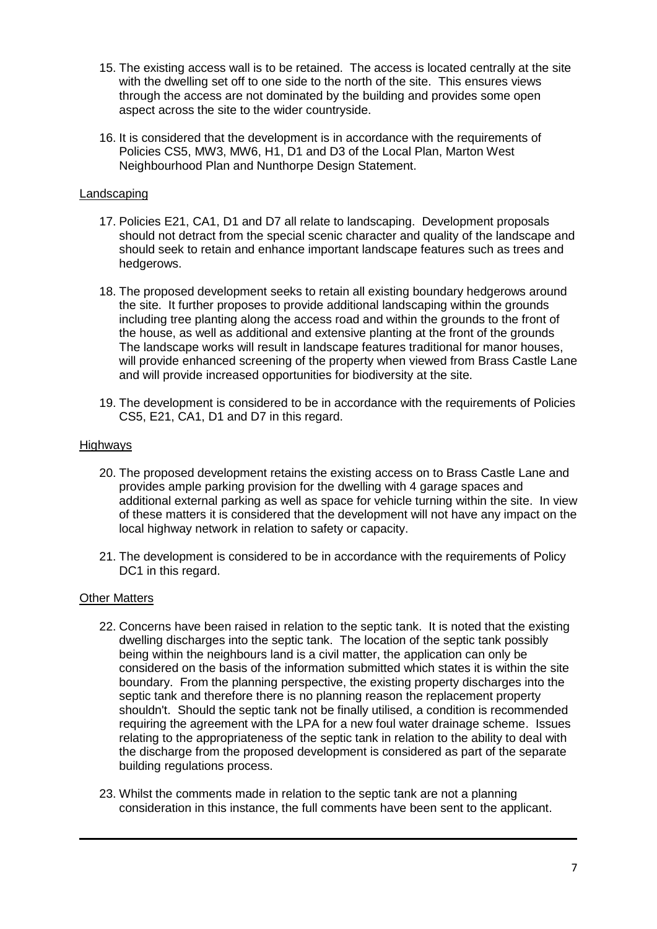- 15. The existing access wall is to be retained. The access is located centrally at the site with the dwelling set off to one side to the north of the site. This ensures views through the access are not dominated by the building and provides some open aspect across the site to the wider countryside.
- 16. It is considered that the development is in accordance with the requirements of Policies CS5, MW3, MW6, H1, D1 and D3 of the Local Plan, Marton West Neighbourhood Plan and Nunthorpe Design Statement.

## Landscaping

- 17. Policies E21, CA1, D1 and D7 all relate to landscaping. Development proposals should not detract from the special scenic character and quality of the landscape and should seek to retain and enhance important landscape features such as trees and hedgerows.
- 18. The proposed development seeks to retain all existing boundary hedgerows around the site. It further proposes to provide additional landscaping within the grounds including tree planting along the access road and within the grounds to the front of the house, as well as additional and extensive planting at the front of the grounds The landscape works will result in landscape features traditional for manor houses, will provide enhanced screening of the property when viewed from Brass Castle Lane and will provide increased opportunities for biodiversity at the site.
- 19. The development is considered to be in accordance with the requirements of Policies CS5, E21, CA1, D1 and D7 in this regard.

## **Highways**

- 20. The proposed development retains the existing access on to Brass Castle Lane and provides ample parking provision for the dwelling with 4 garage spaces and additional external parking as well as space for vehicle turning within the site. In view of these matters it is considered that the development will not have any impact on the local highway network in relation to safety or capacity.
- 21. The development is considered to be in accordance with the requirements of Policy DC1 in this regard.

## Other Matters

- 22. Concerns have been raised in relation to the septic tank. It is noted that the existing dwelling discharges into the septic tank. The location of the septic tank possibly being within the neighbours land is a civil matter, the application can only be considered on the basis of the information submitted which states it is within the site boundary. From the planning perspective, the existing property discharges into the septic tank and therefore there is no planning reason the replacement property shouldn't. Should the septic tank not be finally utilised, a condition is recommended requiring the agreement with the LPA for a new foul water drainage scheme. Issues relating to the appropriateness of the septic tank in relation to the ability to deal with the discharge from the proposed development is considered as part of the separate building regulations process.
- 23. Whilst the comments made in relation to the septic tank are not a planning consideration in this instance, the full comments have been sent to the applicant.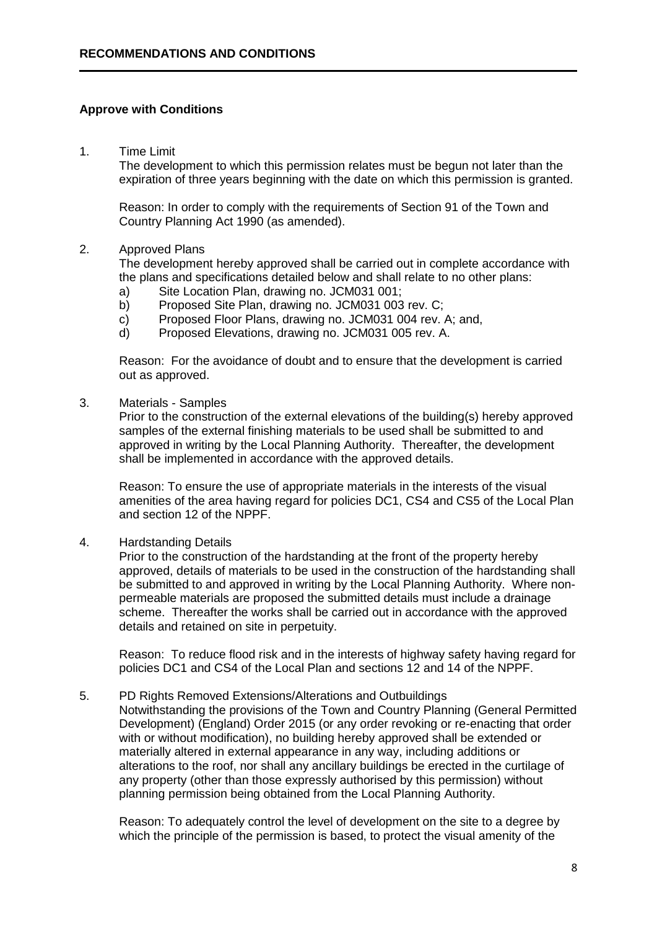#### **Approve with Conditions**

1. Time Limit

The development to which this permission relates must be begun not later than the expiration of three years beginning with the date on which this permission is granted.

Reason: In order to comply with the requirements of Section 91 of the Town and Country Planning Act 1990 (as amended).

#### 2. Approved Plans

The development hereby approved shall be carried out in complete accordance with the plans and specifications detailed below and shall relate to no other plans:

- a) Site Location Plan, drawing no. JCM031 001;
- b) Proposed Site Plan, drawing no. JCM031 003 rev. C;
- c) Proposed Floor Plans, drawing no. JCM031 004 rev. A; and,
- d) Proposed Elevations, drawing no. JCM031 005 rev. A.

Reason: For the avoidance of doubt and to ensure that the development is carried out as approved.

3. Materials - Samples

Prior to the construction of the external elevations of the building(s) hereby approved samples of the external finishing materials to be used shall be submitted to and approved in writing by the Local Planning Authority. Thereafter, the development shall be implemented in accordance with the approved details.

Reason: To ensure the use of appropriate materials in the interests of the visual amenities of the area having regard for policies DC1, CS4 and CS5 of the Local Plan and section 12 of the NPPF.

4. Hardstanding Details

Prior to the construction of the hardstanding at the front of the property hereby approved, details of materials to be used in the construction of the hardstanding shall be submitted to and approved in writing by the Local Planning Authority. Where nonpermeable materials are proposed the submitted details must include a drainage scheme. Thereafter the works shall be carried out in accordance with the approved details and retained on site in perpetuity.

Reason: To reduce flood risk and in the interests of highway safety having regard for policies DC1 and CS4 of the Local Plan and sections 12 and 14 of the NPPF.

#### 5. PD Rights Removed Extensions/Alterations and Outbuildings

Notwithstanding the provisions of the Town and Country Planning (General Permitted Development) (England) Order 2015 (or any order revoking or re-enacting that order with or without modification), no building hereby approved shall be extended or materially altered in external appearance in any way, including additions or alterations to the roof, nor shall any ancillary buildings be erected in the curtilage of any property (other than those expressly authorised by this permission) without planning permission being obtained from the Local Planning Authority.

Reason: To adequately control the level of development on the site to a degree by which the principle of the permission is based, to protect the visual amenity of the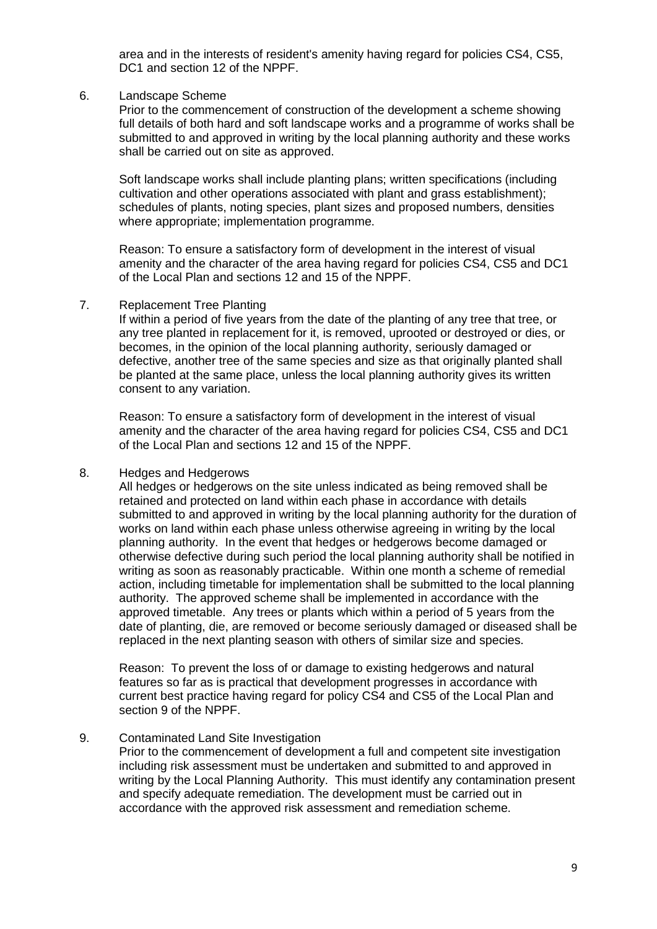area and in the interests of resident's amenity having regard for policies CS4, CS5, DC1 and section 12 of the NPPF.

#### 6. Landscape Scheme

Prior to the commencement of construction of the development a scheme showing full details of both hard and soft landscape works and a programme of works shall be submitted to and approved in writing by the local planning authority and these works shall be carried out on site as approved.

Soft landscape works shall include planting plans; written specifications (including cultivation and other operations associated with plant and grass establishment); schedules of plants, noting species, plant sizes and proposed numbers, densities where appropriate; implementation programme.

Reason: To ensure a satisfactory form of development in the interest of visual amenity and the character of the area having regard for policies CS4, CS5 and DC1 of the Local Plan and sections 12 and 15 of the NPPF.

#### 7. Replacement Tree Planting

If within a period of five years from the date of the planting of any tree that tree, or any tree planted in replacement for it, is removed, uprooted or destroyed or dies, or becomes, in the opinion of the local planning authority, seriously damaged or defective, another tree of the same species and size as that originally planted shall be planted at the same place, unless the local planning authority gives its written consent to any variation.

Reason: To ensure a satisfactory form of development in the interest of visual amenity and the character of the area having regard for policies CS4, CS5 and DC1 of the Local Plan and sections 12 and 15 of the NPPF.

#### 8. Hedges and Hedgerows

All hedges or hedgerows on the site unless indicated as being removed shall be retained and protected on land within each phase in accordance with details submitted to and approved in writing by the local planning authority for the duration of works on land within each phase unless otherwise agreeing in writing by the local planning authority. In the event that hedges or hedgerows become damaged or otherwise defective during such period the local planning authority shall be notified in writing as soon as reasonably practicable. Within one month a scheme of remedial action, including timetable for implementation shall be submitted to the local planning authority. The approved scheme shall be implemented in accordance with the approved timetable. Any trees or plants which within a period of 5 years from the date of planting, die, are removed or become seriously damaged or diseased shall be replaced in the next planting season with others of similar size and species.

Reason: To prevent the loss of or damage to existing hedgerows and natural features so far as is practical that development progresses in accordance with current best practice having regard for policy CS4 and CS5 of the Local Plan and section 9 of the NPPF.

#### 9. Contaminated Land Site Investigation

Prior to the commencement of development a full and competent site investigation including risk assessment must be undertaken and submitted to and approved in writing by the Local Planning Authority. This must identify any contamination present and specify adequate remediation. The development must be carried out in accordance with the approved risk assessment and remediation scheme.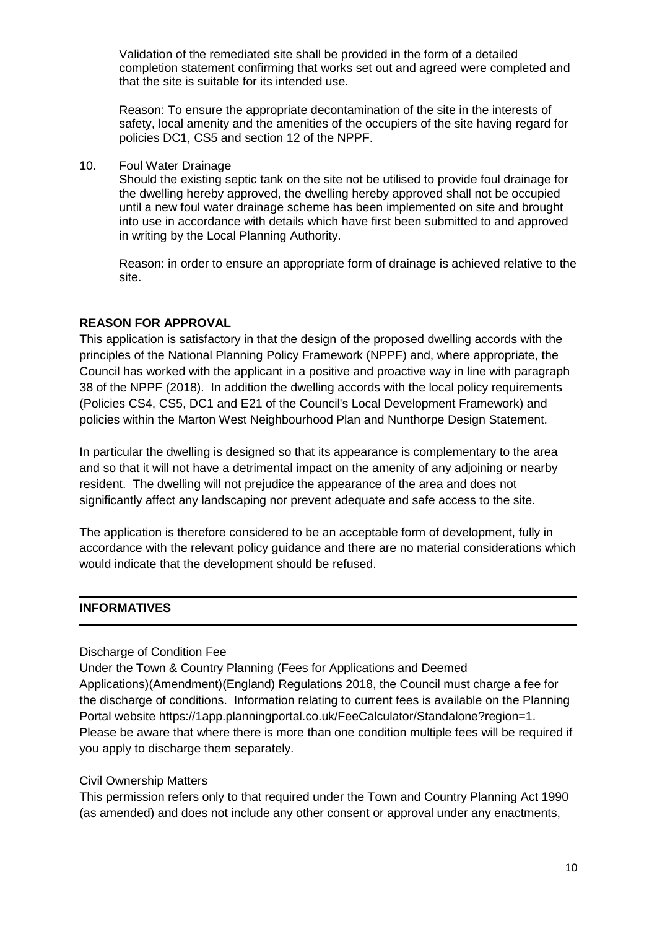Validation of the remediated site shall be provided in the form of a detailed completion statement confirming that works set out and agreed were completed and that the site is suitable for its intended use.

Reason: To ensure the appropriate decontamination of the site in the interests of safety, local amenity and the amenities of the occupiers of the site having regard for policies DC1, CS5 and section 12 of the NPPF.

10. Foul Water Drainage

Should the existing septic tank on the site not be utilised to provide foul drainage for the dwelling hereby approved, the dwelling hereby approved shall not be occupied until a new foul water drainage scheme has been implemented on site and brought into use in accordance with details which have first been submitted to and approved in writing by the Local Planning Authority.

Reason: in order to ensure an appropriate form of drainage is achieved relative to the site.

## **REASON FOR APPROVAL**

This application is satisfactory in that the design of the proposed dwelling accords with the principles of the National Planning Policy Framework (NPPF) and, where appropriate, the Council has worked with the applicant in a positive and proactive way in line with paragraph 38 of the NPPF (2018). In addition the dwelling accords with the local policy requirements (Policies CS4, CS5, DC1 and E21 of the Council's Local Development Framework) and policies within the Marton West Neighbourhood Plan and Nunthorpe Design Statement.

In particular the dwelling is designed so that its appearance is complementary to the area and so that it will not have a detrimental impact on the amenity of any adjoining or nearby resident. The dwelling will not prejudice the appearance of the area and does not significantly affect any landscaping nor prevent adequate and safe access to the site.

The application is therefore considered to be an acceptable form of development, fully in accordance with the relevant policy guidance and there are no material considerations which would indicate that the development should be refused.

## **INFORMATIVES**

Discharge of Condition Fee

Under the Town & Country Planning (Fees for Applications and Deemed Applications)(Amendment)(England) Regulations 2018, the Council must charge a fee for the discharge of conditions. Information relating to current fees is available on the Planning Portal website https://1app.planningportal.co.uk/FeeCalculator/Standalone?region=1. Please be aware that where there is more than one condition multiple fees will be required if you apply to discharge them separately.

## Civil Ownership Matters

This permission refers only to that required under the Town and Country Planning Act 1990 (as amended) and does not include any other consent or approval under any enactments,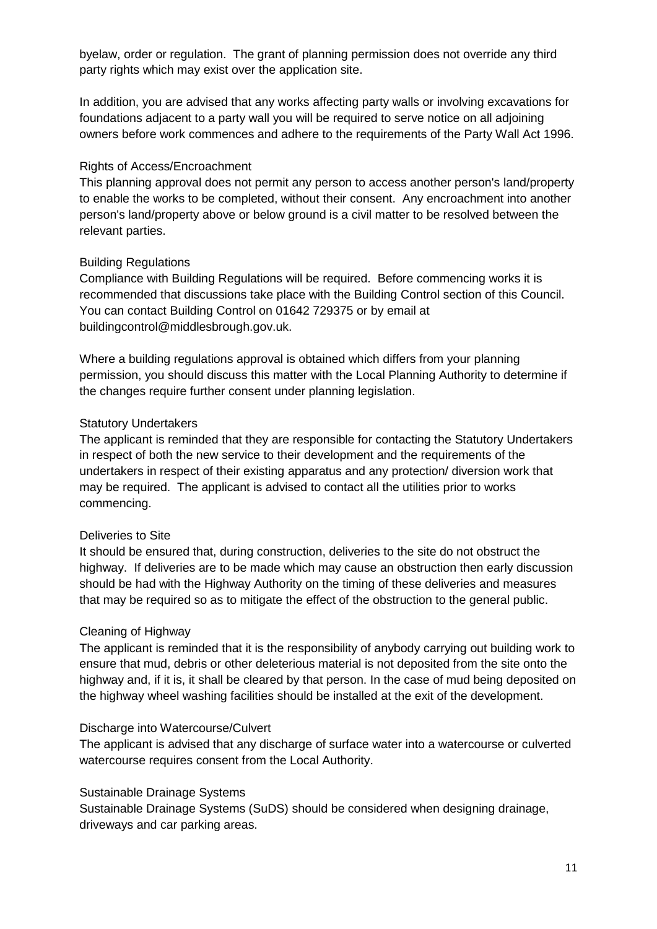byelaw, order or regulation. The grant of planning permission does not override any third party rights which may exist over the application site.

In addition, you are advised that any works affecting party walls or involving excavations for foundations adjacent to a party wall you will be required to serve notice on all adjoining owners before work commences and adhere to the requirements of the Party Wall Act 1996.

### Rights of Access/Encroachment

This planning approval does not permit any person to access another person's land/property to enable the works to be completed, without their consent. Any encroachment into another person's land/property above or below ground is a civil matter to be resolved between the relevant parties.

#### Building Regulations

Compliance with Building Regulations will be required. Before commencing works it is recommended that discussions take place with the Building Control section of this Council. You can contact Building Control on 01642 729375 or by email at buildingcontrol@middlesbrough.gov.uk.

Where a building regulations approval is obtained which differs from your planning permission, you should discuss this matter with the Local Planning Authority to determine if the changes require further consent under planning legislation.

#### Statutory Undertakers

The applicant is reminded that they are responsible for contacting the Statutory Undertakers in respect of both the new service to their development and the requirements of the undertakers in respect of their existing apparatus and any protection/ diversion work that may be required. The applicant is advised to contact all the utilities prior to works commencing.

#### Deliveries to Site

It should be ensured that, during construction, deliveries to the site do not obstruct the highway. If deliveries are to be made which may cause an obstruction then early discussion should be had with the Highway Authority on the timing of these deliveries and measures that may be required so as to mitigate the effect of the obstruction to the general public.

#### Cleaning of Highway

The applicant is reminded that it is the responsibility of anybody carrying out building work to ensure that mud, debris or other deleterious material is not deposited from the site onto the highway and, if it is, it shall be cleared by that person. In the case of mud being deposited on the highway wheel washing facilities should be installed at the exit of the development.

#### Discharge into Watercourse/Culvert

The applicant is advised that any discharge of surface water into a watercourse or culverted watercourse requires consent from the Local Authority.

#### Sustainable Drainage Systems

Sustainable Drainage Systems (SuDS) should be considered when designing drainage, driveways and car parking areas.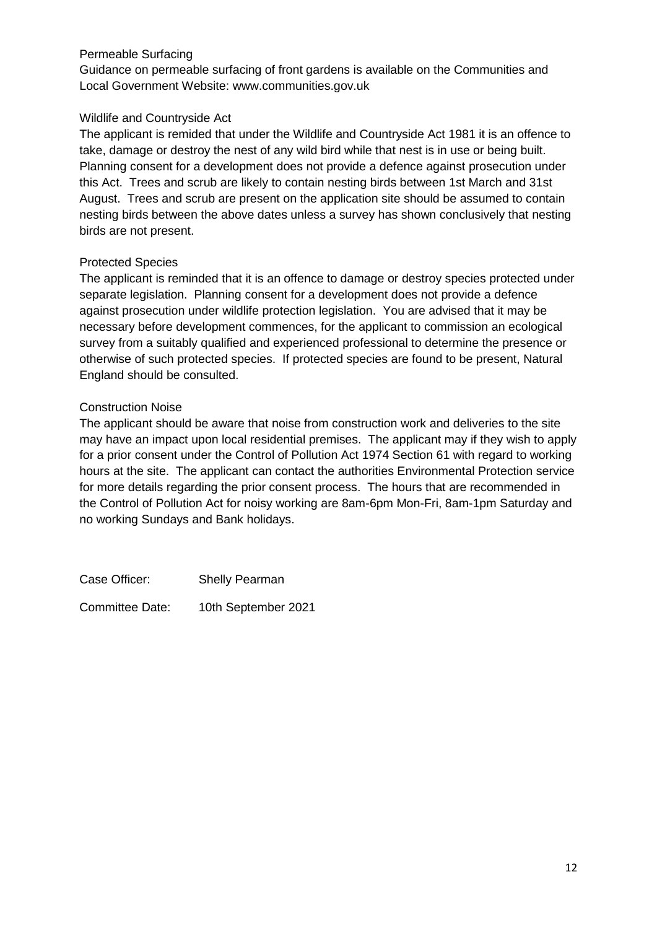## Permeable Surfacing

Guidance on permeable surfacing of front gardens is available on the Communities and Local Government Website: www.communities.gov.uk

## Wildlife and Countryside Act

The applicant is remided that under the Wildlife and Countryside Act 1981 it is an offence to take, damage or destroy the nest of any wild bird while that nest is in use or being built. Planning consent for a development does not provide a defence against prosecution under this Act. Trees and scrub are likely to contain nesting birds between 1st March and 31st August. Trees and scrub are present on the application site should be assumed to contain nesting birds between the above dates unless a survey has shown conclusively that nesting birds are not present.

## Protected Species

The applicant is reminded that it is an offence to damage or destroy species protected under separate legislation. Planning consent for a development does not provide a defence against prosecution under wildlife protection legislation. You are advised that it may be necessary before development commences, for the applicant to commission an ecological survey from a suitably qualified and experienced professional to determine the presence or otherwise of such protected species. If protected species are found to be present, Natural England should be consulted.

## Construction Noise

The applicant should be aware that noise from construction work and deliveries to the site may have an impact upon local residential premises. The applicant may if they wish to apply for a prior consent under the Control of Pollution Act 1974 Section 61 with regard to working hours at the site. The applicant can contact the authorities Environmental Protection service for more details regarding the prior consent process. The hours that are recommended in the Control of Pollution Act for noisy working are 8am-6pm Mon-Fri, 8am-1pm Saturday and no working Sundays and Bank holidays.

Case Officer: Shelly Pearman

Committee Date: 10th September 2021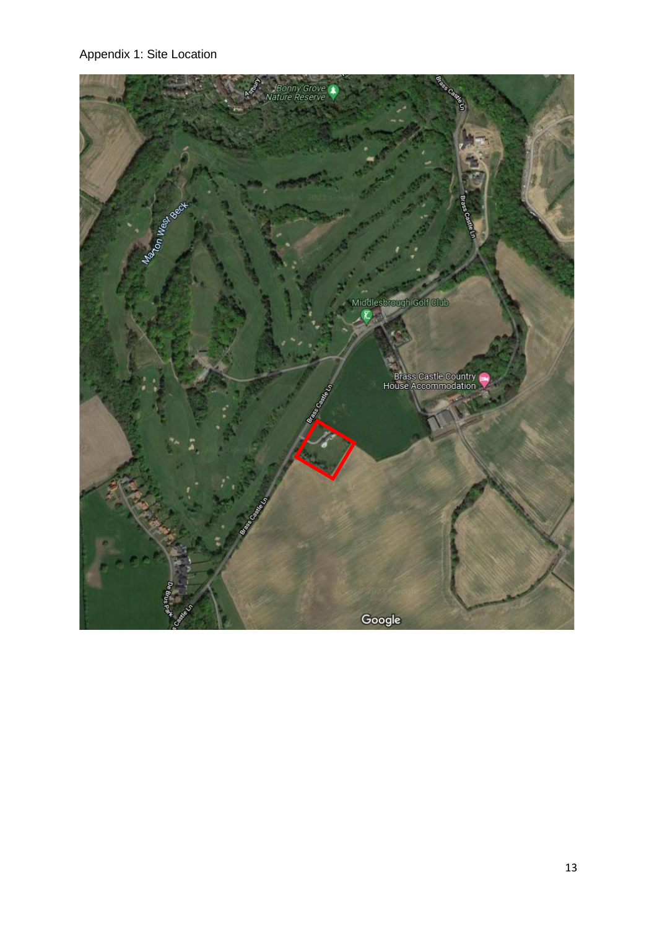Appendix 1: Site Location

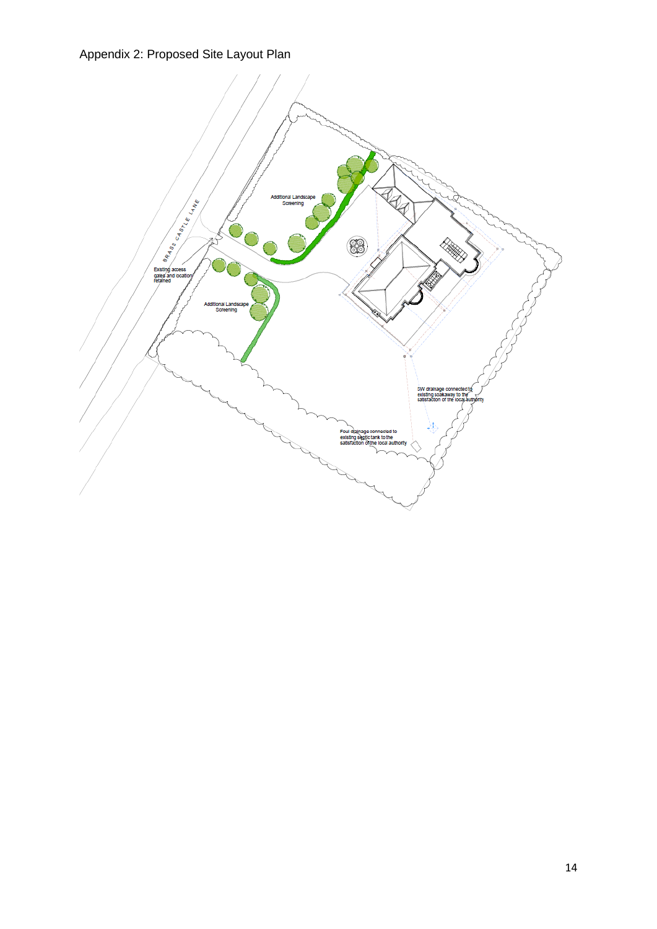## Appendix 2: Proposed Site Layout Plan

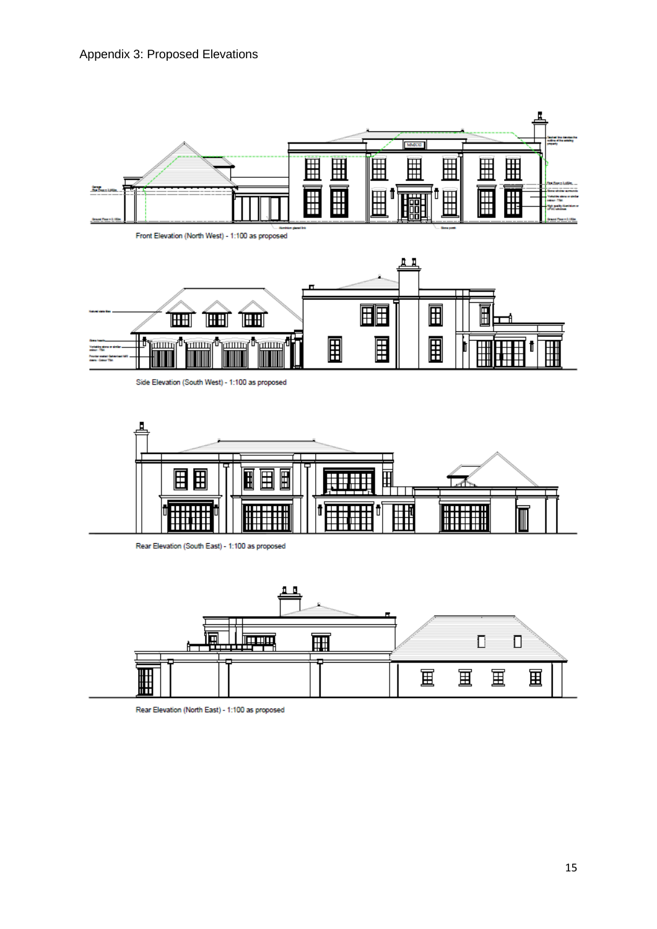



Side Elevation (South West) - 1:100 as proposed



Rear Elevation (South East) - 1:100 as proposed



Rear Elevation (North East) - 1:100 as proposed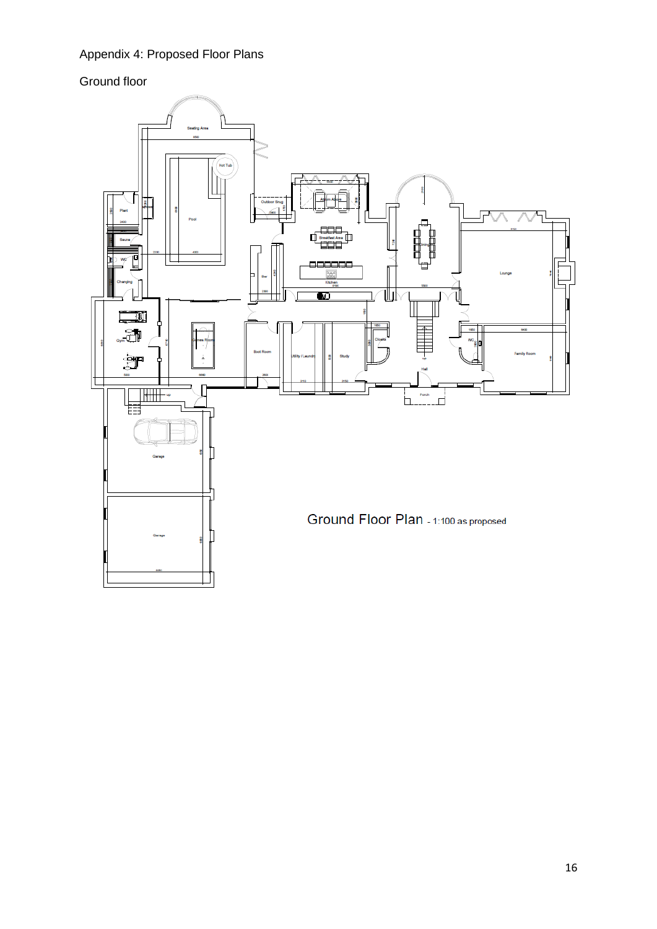## Appendix 4: Proposed Floor Plans

# Ground floor